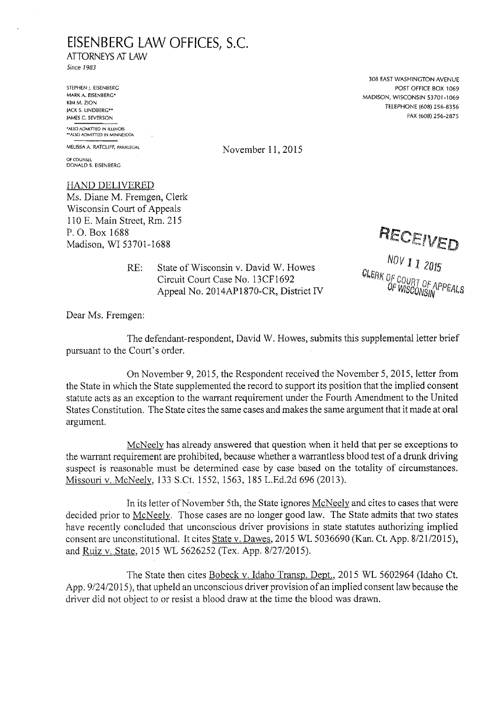## **EISENBERG LAW OFFICES, S.C.**

ATTORNEYS AT LAW

Since *1983*

STEPHEN j. EISENBERG MARK A. EISENBERG\* KIM M. ZION JACK S. LINDBERC\*\* JAMES C. SEVERSON **\*AI.SO ADMITTED IN ILLINOIS "ALSO ADMITTED IN MINNESOTA**

**OF COUNSEL** DONALD S. EISENBERG

HAND DELIVERED Ms. Diane M. Fremgen, Clerk Wisconsin Court of Appeals 110 E. Main Street, Rm. 215 P.O.Box 1688 P. O. Box 1688<br>Madison, WI 53701-1688 *Wa*dison, WI 53701-1688

> State of Wisconsin v. David W. Howes Circuit Court Case No. 13CF1692 Appeal No. 2014AP1870-CR, District IV RE:

308 EAST WASHINGTON AVENUE POST OFFICE BOX 1069 MADISON, WISCONSIN 53701-1069 TELEPHONE (608) 256-8356 FAX (608) 256-2875

**MELISSA A. RATCLIFF, PARALEGAL** November 11, 2015

*NOV 11* <sup>ULERK</sup> OF COURT OF APPEALS<br>OF WISCONGIN PPEALS

Dear Ms. Fremgen:

The defendant-respondent, David W. Howes, submits this supplemental letter brief pursuant to the Court's order.

On November 9, 2015, the Respondent received the November 5, 2015, letter from the State in which the State supplemented the record to support its position that the implied consent statute acts as an exception to the warrant requirement under the Fourth Amendment to the United States Constitution. The State cites the same cases and makes the same argument that it made at oral argument.

McNeely has already answered that question when it held that per se exceptions to the warrant requirement are prohibited, because whether a warrantless blood test of a drunk driving suspect is reasonable must be determined case by case based on the totality of circumstances. Missouri v, McNeely. 133 S.Ct. 1552, 1563, 185 L.Ed.2d 696 (2013).

In its letter of November 5th, the State ignores McNeely and cites to cases that were decided prior to McNeely. Those cases are no longer good law. The State admits that two states have recently concluded that unconscious driver provisions in state statutes authorizing implied consent are unconstitutional. It cites State v. Dawes. 2015 WL 5036690 (Kan. Ct. App. 8/21/2015), and Ruiz v. State. 2015 WL 5626252 (Tex. App. 8/27/2015).

The State then cites Bobeck v. Idaho Transp. Dept.. 2015 WL 5602964 (Idaho Ct. App. 9/24/2015), that upheld an unconscious driver provision of an implied consent law because the driver did not object to or resist a blood draw at the time the blood was drawn.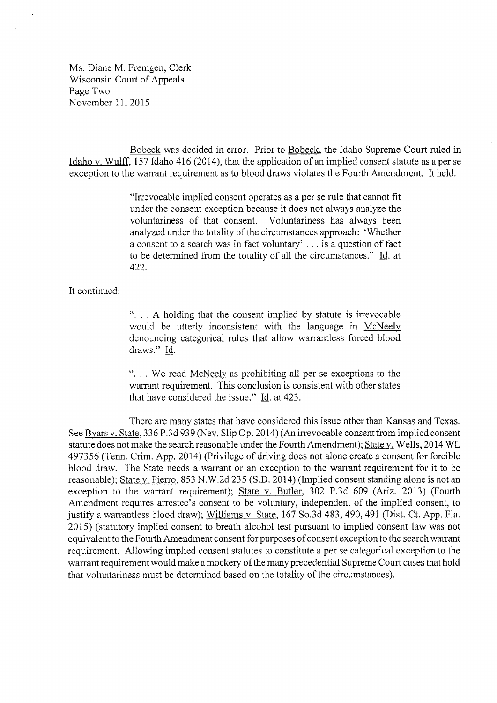Ms. Diane M. Fremgen, Clerk Wisconsin Court of Appeals Page Two November 11, 2015

Bobeck was decided in error. Prior to Bobeck. the Idaho Supreme Court ruled in Idaho v. Wulff. 157 Idaho 416 (2014), that the application of an implied consent statute as aper se exception to the warrant requirement as to blood draws violates the Fourth Amendment. It held:

> "Irrevocable implied consent operates as <sup>a</sup> per se rule that cannot fit under the consent exception because it does not always analyze the voluntariness of that consent. Voluntariness has always been analyzed under the totality of the circumstances approach: 'Whether <sup>a</sup> consent to <sup>a</sup> search was in fact voluntary' ... is <sup>a</sup> question of fact to be determined from the totality of all the circumstances." Id. at 422.

It continued:

". . . A holding that the consent implied by statute is irrevocable would be utterly inconsistent with the language in McNeely denouncing categorical rules that allow warrantless forced blood draws." Id.

". . . We read McNeely as prohibiting all per se exceptions to the warrant requirement. This conclusion is consistent with other states that have considered the issue." Id. at 423.

There are many states that have considered this issue other than Kansas and Texas. See Byars v. State. 336 P.3d 939 (Nev. Slip Op. 2014) (An irrevocable consent from implied consent statute does not make the search reasonable under the Fourth Amendment); State v. Wells. 2014 WL 497356 (Tenn. Crim. App. 2014) (Privilege of driving does not alone create <sup>a</sup> consent for forcible blood draw. The State needs a warrant or an exception to the warrant requirement for it to be reasonable); State v. Fierro. 853 N.W.2d 235 (S.D. 2014) (Implied consent standing alone is not an exception to the warrant requirement); State v. Butler. 302 P.3d 609 (Ariz. 2013) (Fourth Amendment requires arrestee's consent to be voluntary, independent of the implied consent, to justify a warrantless blood draw); Williams v. State, 167 So.3d 483, 490, 491 (Dist. Ct. App. Fla. 2015) (statutory implied consent to breath alcohol test pursuant to implied consent law was not equivalent to the Fourth Amendment consent for purposes of consent exception to the search warrant requirement. Allowing implied consent statutes to constitute a per se categorical exception to the warrant requirement would make a mockery of the many precedential Supreme Court cases that hold that voluntariness must be determined based on the totality of the circumstances).